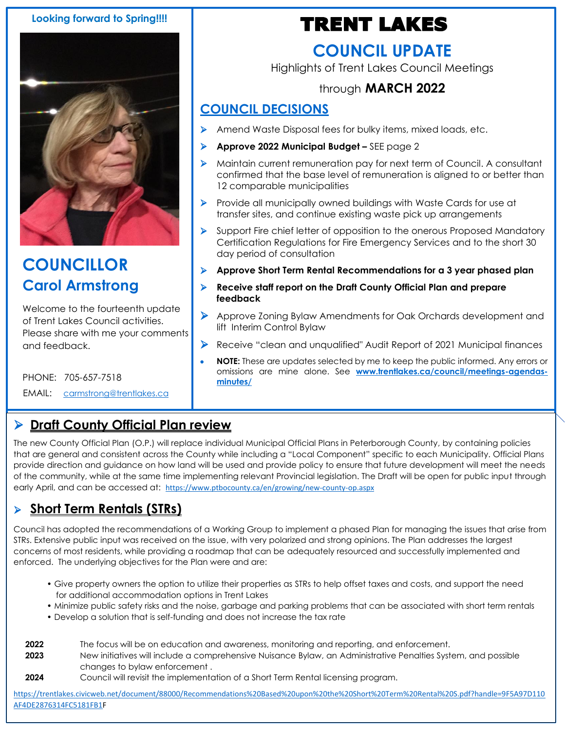#### **Looking forward to Spring!!!!**



### **COUNCILLOR Carol Armstrong**

Welcome to the fourteenth update of Trent Lakes Council activities. Please share with me your comments and feedback.

PHONE: 705-657-7518

EMAIL: [carmstrong@trentlakes.ca](mailto:carmstrong@trentlakes.ca)

# TRENT LAKES

### **COUNCIL UPDATE**

Highlights of Trent Lakes Council Meetings

#### through **MARCH 2022**

#### **COUNCIL DECISIONS**

- ➢ Amend Waste Disposal fees for bulky items, mixed loads, etc.
- ➢ **Approve 2022 Municipal Budget –** SEE page 2
- ➢ Maintain current remuneration pay for next term of Council. A consultant confirmed that the base level of remuneration is aligned to or better than 12 comparable municipalities
- ➢ Provide all municipally owned buildings with Waste Cards for use at transfer sites, and continue existing waste pick up arrangements
- ➢ Support Fire chief letter of opposition to the onerous Proposed Mandatory Certification Regulations for Fire Emergency Services and to the short 30 day period of consultation
- ➢ **Approve Short Term Rental Recommendations for a 3 year phased plan**
- ➢ **Receive staff report on the Draft County Official Plan and prepare feedback**
- ➢ Approve Zoning Bylaw Amendments for Oak Orchards development and lift Interim Control Bylaw
- ➢ Receive "clean and unqualified" Audit Report of 2021 Municipal finances
- **NOTE:** These are updates selected by me to keep the public informed. Any errors or omissions are mine alone. See **[www.trentlakes.ca/council/meetings-agendas](http://www.trentlakes.ca/council/meetings-agendas-minutes/)[minutes/](http://www.trentlakes.ca/council/meetings-agendas-minutes/)**

### Draft ➢ **Draft County Official Plan review**

The new County Official Plan (O.P.) will replace individual Municipal Official Plans in Peterborough County, by containing policies that are general and consistent across the County while including a "Local Component" specific to each Municipality. Official Plans provide direction and guidance on how land will be used and provide policy to ensure that future development will meet the needs of the community, while at the same time implementing relevant Provincial legislation. The Draft will be open for public input through early April, and can be accessed at: <https://www.ptbocounty.ca/en/growing/new-county-op.aspx>

### ➢ **Short Term Rentals (STRs)**

Council has adopted the recommendations of a Working Group to implement a phased Plan for managing the issues that arise from STRs. Extensive public input was received on the issue, with very polarized and strong opinions. The Plan addresses the largest concerns of most residents, while providing a roadmap that can be adequately resourced and successfully implemented and enforced. The underlying objectives for the Plan were and are:

- Give property owners the option to utilize their properties as STRs to help offset taxes and costs, and support the need for additional accommodation options in Trent Lakes
- Minimize public safety risks and the noise, garbage and parking problems that can be associated with short term rentals
- Develop a solution that is self-funding and does not increase the tax rate
- **2022** The focus will be on education and awareness, monitoring and reporting, and enforcement.
- **2023** New initiatives will include a comprehensive Nuisance Bylaw, an Administrative Penalties System, and possible changes to bylaw enforcement .
- **2024** Council will revisit the implementation of a Short Term Rental licensing program.

[https://trentlakes.civicweb.net/document/88000/Recommendations%20Based%20upon%20the%20Short%20Term%20Rental%20S.pdf?handle=9F5A97D110](https://trentlakes.civicweb.net/document/88000/Recommendations%20Based%20upon%20the%20Short%20Term%20Rental%20S.pdf?handle=9F5A97D110AF4DE2876314FC5181FB1) [AF4DE2876314FC5181FB1F](https://trentlakes.civicweb.net/document/88000/Recommendations%20Based%20upon%20the%20Short%20Term%20Rental%20S.pdf?handle=9F5A97D110AF4DE2876314FC5181FB1)